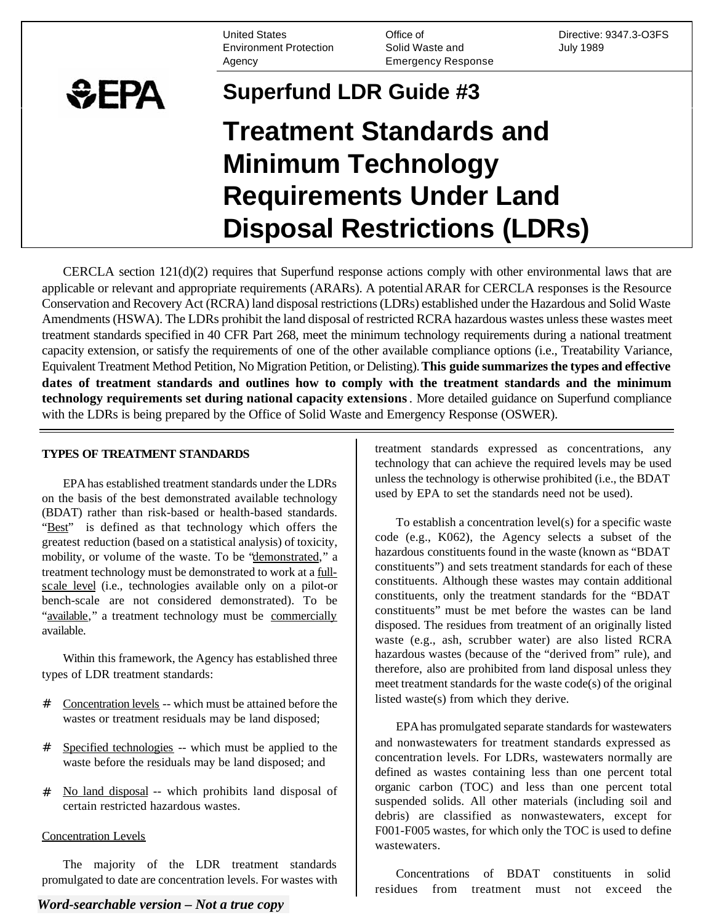United States Environment Protection Agency

Office of Solid Waste and Emergency Response

Directive: 9347.3-O3FS July 1989

# **SEPA Superfund LDR Guide #3 Treatment Standards and Minimum Technology Requirements Under Land Disposal Restrictions (LDRs)**

CERCLA section 121(d)(2) requires that Superfund response actions comply with other environmental laws that are applicable or relevant and appropriate requirements (ARARs). A potential ARAR for CERCLA responses is the Resource Conservation and Recovery Act (RCRA) land disposal restrictions (LDRs) established under the Hazardous and Solid Waste Amendments (HSWA). The LDRs prohibit the land disposal of restricted RCRA hazardous wastes unless these wastes meet treatment standards specified in 40 CFR Part 268, meet the minimum technology requirements during a national treatment capacity extension, or satisfy the requirements of one of the other available compliance options (i.e., Treatability Variance, Equivalent Treatment Method Petition, No Migration Petition, or Delisting). **This guide summarizes the types and effective dates of treatment standards and outlines how to comply with the treatment standards and the minimum technology requirements set during national capacity extensions** . More detailed guidance on Superfund compliance with the LDRs is being prepared by the Office of Solid Waste and Emergency Response (OSWER).

#### **TYPES OF TREATMENT STANDARDS**

EPA has established treatment standards under the LDRs on the basis of the best demonstrated available technology (BDAT) rather than risk-based or health-based standards. "Best" is defined as that technology which offers the greatest reduction (based on a statistical analysis) of toxicity, mobility, or volume of the waste. To be "demonstrated," a treatment technology must be demonstrated to work at a fullscale level (i.e., technologies available only on a pilot-or bench-scale are not considered demonstrated). To be "available," a treatment technology must be commercially available.

Within this framework, the Agency has established three types of LDR treatment standards:

- # Concentration levels -- which must be attained before the wastes or treatment residuals may be land disposed;
- # Specified technologies -- which must be applied to the waste before the residuals may be land disposed; and
- # No land disposal -- which prohibits land disposal of certain restricted hazardous wastes.

#### Concentration Levels

The majority of the LDR treatment standards promulgated to date are concentration levels. For wastes with

*Word-searchable version – Not a true copy* 

treatment standards expressed as concentrations, any technology that can achieve the required levels may be used unless the technology is otherwise prohibited (i.e., the BDAT used by EPA to set the standards need not be used).

To establish a concentration level(s) for a specific waste code (e.g., K062), the Agency selects a subset of the hazardous constituents found in the waste (known as "BDAT constituents") and sets treatment standards for each of these constituents. Although these wastes may contain additional constituents, only the treatment standards for the "BDAT constituents" must be met before the wastes can be land disposed. The residues from treatment of an originally listed waste (e.g., ash, scrubber water) are also listed RCRA hazardous wastes (because of the "derived from" rule), and therefore, also are prohibited from land disposal unless they meet treatment standards for the waste code(s) of the original listed waste(s) from which they derive.

EPA has promulgated separate standards for wastewaters and nonwastewaters for treatment standards expressed as concentration levels. For LDRs, wastewaters normally are defined as wastes containing less than one percent total organic carbon (TOC) and less than one percent total suspended solids. All other materials (including soil and debris) are classified as nonwastewaters, except for F001-F005 wastes, for which only the TOC is used to define wastewaters.

Concentrations of BDAT constituents in solid residues from treatment must not exceed the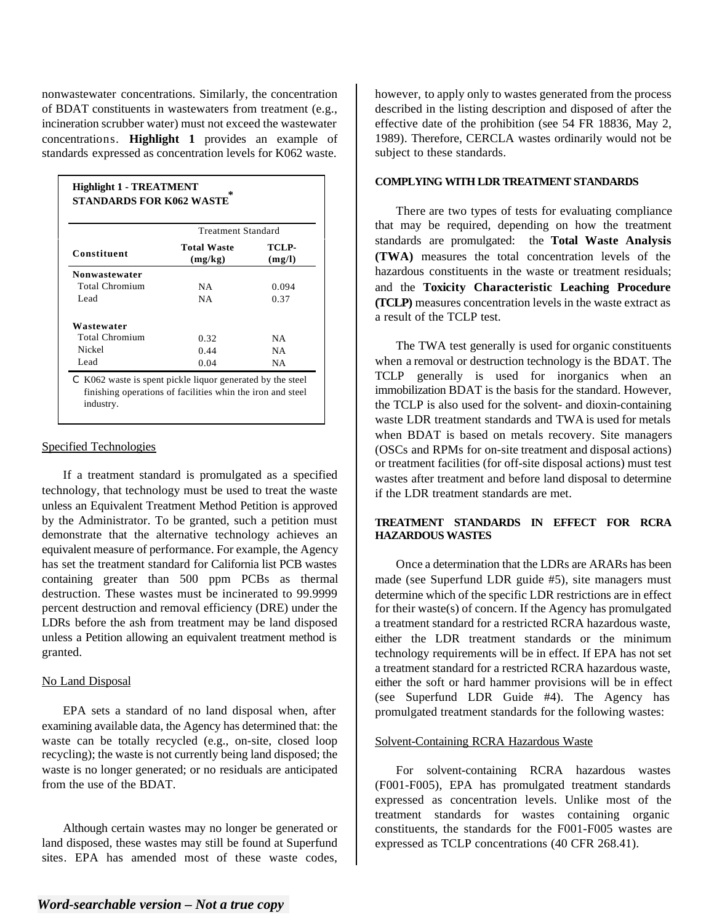nonwastewater concentrations. Similarly, the concentration of BDAT constituents in wastewaters from treatment (e.g., incineration scrubber water) must not exceed the wastewater concentrations. **Highlight 1** provides an example of standards expressed as concentration levels for K062 waste.

|                      | Treatment Standard            |                 |  |
|----------------------|-------------------------------|-----------------|--|
| Constituent          | <b>Total Waste</b><br>(mg/kg) | TCLP-<br>(mg/l) |  |
| <b>Nonwastewater</b> |                               |                 |  |
| Total Chromium       | NA                            | 0.094           |  |
| Lead                 | NA                            | 0.37            |  |
| Wastewater           |                               |                 |  |
| Total Chromium       | 0.32                          | NA              |  |
| Nickel               | 0.44                          | NA              |  |
| Lead                 | 0.04                          | NA              |  |

finishing operations of facilities whin the iron and steel industry.

# Specified Technologies

If a treatment standard is promulgated as a specified technology, that technology must be used to treat the waste unless an Equivalent Treatment Method Petition is approved by the Administrator. To be granted, such a petition must demonstrate that the alternative technology achieves an equivalent measure of performance. For example, the Agency has set the treatment standard for California list PCB wastes containing greater than 500 ppm PCBs as thermal destruction. These wastes must be incinerated to 99.9999 percent destruction and removal efficiency (DRE) under the LDRs before the ash from treatment may be land disposed unless a Petition allowing an equivalent treatment method is granted.

# No Land Disposal

EPA sets a standard of no land disposal when, after examining available data, the Agency has determined that: the waste can be totally recycled (e.g., on-site, closed loop recycling); the waste is not currently being land disposed; the waste is no longer generated; or no residuals are anticipated from the use of the BDAT.

Although certain wastes may no longer be generated or land disposed, these wastes may still be found at Superfund sites. EPA has amended most of these waste codes, however, to apply only to wastes generated from the process described in the listing description and disposed of after the effective date of the prohibition (see 54 FR 18836, May 2, 1989). Therefore, CERCLA wastes ordinarily would not be subject to these standards.

#### **COMPLYING WITH LDR TREATMENT STANDARDS**

There are two types of tests for evaluating compliance that may be required, depending on how the treatment standards are promulgated: the **Total Waste Analysis (TWA)** measures the total concentration levels of the hazardous constituents in the waste or treatment residuals; and the **Toxicity Characteristic Leaching Procedure (TCLP)** measures concentration levels in the waste extract as a result of the TCLP test.

The TWA test generally is used for organic constituents when a removal or destruction technology is the BDAT. The TCLP generally is used for inorganics when an immobilization BDAT is the basis for the standard. However, the TCLP is also used for the solvent- and dioxin-containing waste LDR treatment standards and TWA is used for metals when BDAT is based on metals recovery. Site managers (OSCs and RPMs for on-site treatment and disposal actions) or treatment facilities (for off-site disposal actions) must test wastes after treatment and before land disposal to determine if the LDR treatment standards are met.

# **TREATMENT STANDARDS IN EFFECT FOR RCRA HAZARDOUS WASTES**

Once a determination that the LDRs are ARARs has been made (see Superfund LDR guide #5), site managers must determine which of the specific LDR restrictions are in effect for their waste(s) of concern. If the Agency has promulgated a treatment standard for a restricted RCRA hazardous waste, either the LDR treatment standards or the minimum technology requirements will be in effect. If EPA has not set a treatment standard for a restricted RCRA hazardous waste, either the soft or hard hammer provisions will be in effect (see Superfund LDR Guide #4). The Agency has promulgated treatment standards for the following wastes:

#### Solvent-Containing RCRA Hazardous Waste

For solvent-containing RCRA hazardous wastes (F001-F005), EPA has promulgated treatment standards expressed as concentration levels. Unlike most of the treatment standards for wastes containing organic constituents, the standards for the F001-F005 wastes are expressed as TCLP concentrations (40 CFR 268.41).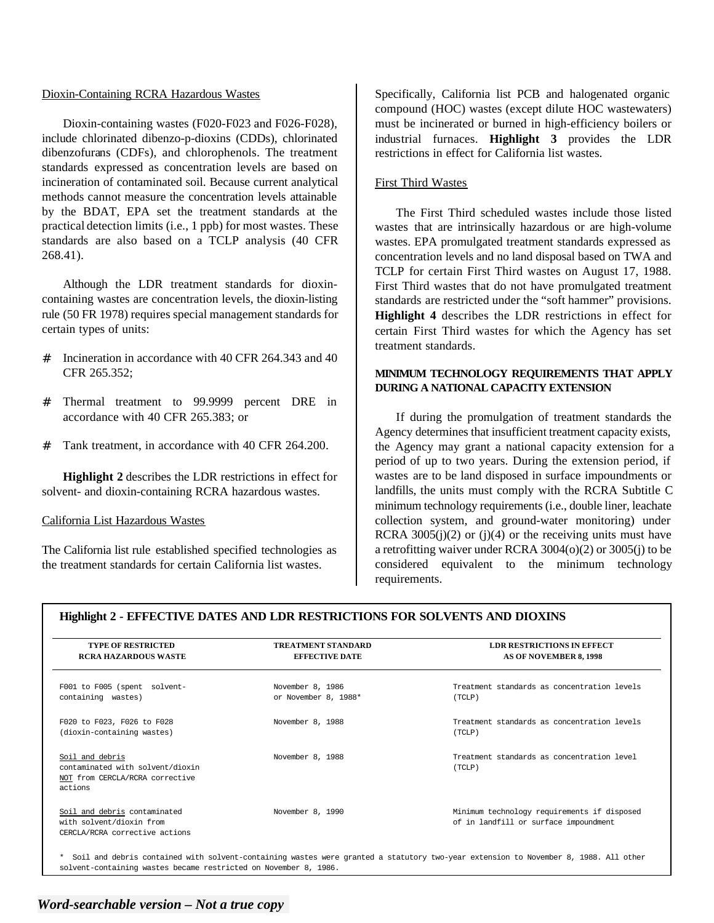#### Dioxin-Containing RCRA Hazardous Wastes

Dioxin-containing wastes (F020-F023 and F026-F028), include chlorinated dibenzo-p-dioxins (CDDs), chlorinated dibenzofurans (CDFs), and chlorophenols. The treatment standards expressed as concentration levels are based on incineration of contaminated soil. Because current analytical methods cannot measure the concentration levels attainable by the BDAT, EPA set the treatment standards at the practical detection limits (i.e., 1 ppb) for most wastes. These standards are also based on a TCLP analysis (40 CFR 268.41).

Although the LDR treatment standards for dioxincontaining wastes are concentration levels, the dioxin-listing rule (50 FR 1978) requires special management standards for certain types of units:

- # Incineration in accordance with 40 CFR 264.343 and 40 CFR 265.352;
- # Thermal treatment to 99.9999 percent DRE in accordance with 40 CFR 265.383; or
- # Tank treatment, in accordance with 40 CFR 264.200.

**Highlight 2** describes the LDR restrictions in effect for solvent- and dioxin-containing RCRA hazardous wastes.

#### California List Hazardous Wastes

The California list rule established specified technologies as the treatment standards for certain California list wastes.

Specifically, California list PCB and halogenated organic compound (HOC) wastes (except dilute HOC wastewaters) must be incinerated or burned in high-efficiency boilers or industrial furnaces. **Highlight 3** provides the LDR restrictions in effect for California list wastes.

#### First Third Wastes

The First Third scheduled wastes include those listed wastes that are intrinsically hazardous or are high-volume wastes. EPA promulgated treatment standards expressed as concentration levels and no land disposal based on TWA and TCLP for certain First Third wastes on August 17, 1988. First Third wastes that do not have promulgated treatment standards are restricted under the "soft hammer" provisions. **Highlight 4** describes the LDR restrictions in effect for certain First Third wastes for which the Agency has set treatment standards.

# **MINIMUM TECHNOLOGY REQUIREMENTS THAT APPLY DURING A NATIONAL CAPACITY EXTENSION**

If during the promulgation of treatment standards the Agency determines that insufficient treatment capacity exists, the Agency may grant a national capacity extension for a period of up to two years. During the extension period, if wastes are to be land disposed in surface impoundments or landfills, the units must comply with the RCRA Subtitle C minimum technology requirements (i.e., double liner, leachate collection system, and ground-water monitoring) under RCRA  $3005(i)(2)$  or (j)(4) or the receiving units must have a retrofitting waiver under RCRA 3004(o)(2) or 3005(j) to be considered equivalent to the minimum technology requirements.

### **Highlight 2 - EFFECTIVE DATES AND LDR RESTRICTIONS FOR SOLVENTS AND DIOXINS**

| <b>TYPE OF RESTRICTED</b><br><b>RCRA HAZARDOUS WASTE</b>                                          | <b>TREATMENT STANDARD</b><br><b>EFFECTIVE DATE</b> | <b>LDR RESTRICTIONS IN EFFECT</b><br><b>AS OF NOVEMBER 8, 1998</b>                   |
|---------------------------------------------------------------------------------------------------|----------------------------------------------------|--------------------------------------------------------------------------------------|
| F001 to F005 (spent solvent-<br>containing wastes)                                                | November 8, 1986<br>or November 8, 1988*           | Treatment standards as concentration levels<br>(TCLP)                                |
| F020 to F023, F026 to F028<br>(dioxin-containing wastes)                                          | November 8, 1988                                   | Treatment standards as concentration levels<br>(TCLP)                                |
| Soil and debris<br>contaminated with solvent/dioxin<br>NOT from CERCLA/RCRA corrective<br>actions | November 8, 1988                                   | Treatment standards as concentration level<br>(TCLP)                                 |
| Soil and debris contaminated<br>with solvent/dioxin from<br>CERCLA/RCRA corrective actions        | November 8, 1990                                   | Minimum technology requirements if disposed<br>of in landfill or surface impoundment |

\* solvent-containing wastes became restricted on November 8, 1986. Soil and debris contained with solvent-containing wastes were granted a statutory two-year extension to November 8, 1988. All other

# *Word-searchable version – Not a true copy*